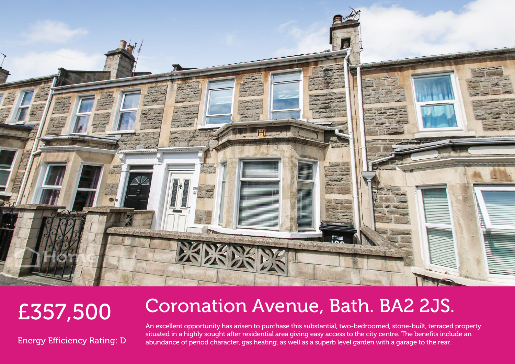

# £357,500

### Coronation Avenue, Bath. BA2 2JS.

An excellent opportunity has arisen to purchase this substantial, two-bedroomed, stone-built, terraced property situated in a highly sought after residential area giving easy access to the city centre. The benefits include an abundance of period character, gas heating, as well as a superb level garden with a garage to the rear.

Energy Efficiency Rating: D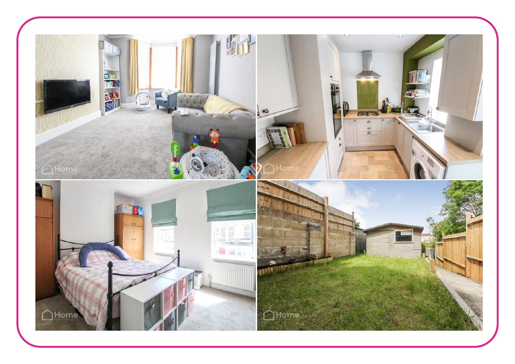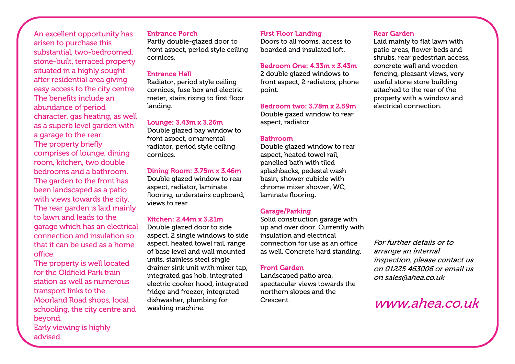An excellent opportunity has arisen to purchase this substantial, two-bedroomed, stone-built, terraced property situated in a highly sought after residential area giving easy access to the city centre. The benefits include an abundance of period character, gas heating, as well as a superb level garden with a garage to the rear. The property briefly comprises of lounge, dining room, kitchen, two double bedrooms and a bathroom. The garden to the front has been landscaped as a patio with views towards the city. The rear garden is laid mainly to lawn and leads to the garage which has an electrical connection and insulation so that it can be used as a home office.

The property is well located for the Oldfield Park train station as well as numerous transport links to the Moorland Road shops, local schooling, the city centre and beyond. Early viewing is highly

advised.

#### Entrance Porch

Partly double-glazed door to front aspect, period style ceiling cornices.

#### Entrance Hall

Radiator, period style ceiling cornices, fuse box and electric meter, stairs rising to first floor landing.

#### Lounge: 3.43m x 3.26m

Double glazed bay window to front aspect, ornamental radiator, period style ceiling cornices.

#### Dining Room: 3.75m x 3.46m

Double glazed window to rear aspect, radiator, laminate flooring, understairs cupboard, views to rear.

#### Kitchen: 2.44m x 3.21m

Double glazed door to side aspect, 2 single windows to side aspect, heated towel rail, range of base level and wall mounted units, stainless steel single drainer sink unit with mixer tap, integrated gas hob, integrated electric cooker hood, integrated fridge and freezer, integrated dishwasher, plumbing for washing machine.

#### First Floor Landing

Doors to all rooms, access to boarded and insulated loft.

#### Bedroom One: 4.33m x 3.43m

2 double glazed windows to front aspect, 2 radiators, phone point.

#### Bedroom two: 3.78m x 2.59m

Double gazed window to rear aspect, radiator.

#### Bathroom

Double glazed window to rear aspect, heated towel rail, panelled bath with tiled splashbacks, pedestal wash basin, shower cubicle with chrome mixer shower, WC, laminate flooring.

#### Garage/Parking

Solid construction garage with up and over door. Currently with insulation and electrical connection for use as an office as well. Concrete hard standing.

#### Front Garden

Landscaped patio area, spectacular views towards the northern slopes and the Crescent.

#### Rear Garden

Laid mainly to flat lawn with patio areas, flower beds and shrubs, rear pedestrian access, concrete wall and wooden fencing, pleasant views, very useful stone store building attached to the rear of the property with a window and electrical connection.

For further details or to arrange an internal inspection, please contact us on 01225 463006 or email us on sales@ahea.co.uk

### www.ahea.co.uk